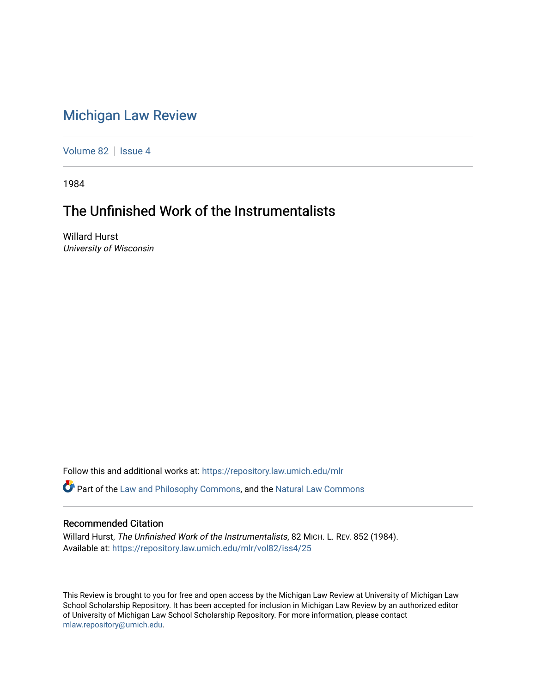## [Michigan Law Review](https://repository.law.umich.edu/mlr)

[Volume 82](https://repository.law.umich.edu/mlr/vol82) | [Issue 4](https://repository.law.umich.edu/mlr/vol82/iss4)

1984

# The Unfinished Work of the Instrumentalists

Willard Hurst University of Wisconsin

Follow this and additional works at: [https://repository.law.umich.edu/mlr](https://repository.law.umich.edu/mlr?utm_source=repository.law.umich.edu%2Fmlr%2Fvol82%2Fiss4%2F25&utm_medium=PDF&utm_campaign=PDFCoverPages) 

Part of the [Law and Philosophy Commons,](http://network.bepress.com/hgg/discipline/1299?utm_source=repository.law.umich.edu%2Fmlr%2Fvol82%2Fiss4%2F25&utm_medium=PDF&utm_campaign=PDFCoverPages) and the [Natural Law Commons](http://network.bepress.com/hgg/discipline/1263?utm_source=repository.law.umich.edu%2Fmlr%2Fvol82%2Fiss4%2F25&utm_medium=PDF&utm_campaign=PDFCoverPages) 

#### Recommended Citation

Willard Hurst, The Unfinished Work of the Instrumentalists, 82 MICH. L. REV. 852 (1984). Available at: [https://repository.law.umich.edu/mlr/vol82/iss4/25](https://repository.law.umich.edu/mlr/vol82/iss4/25?utm_source=repository.law.umich.edu%2Fmlr%2Fvol82%2Fiss4%2F25&utm_medium=PDF&utm_campaign=PDFCoverPages) 

This Review is brought to you for free and open access by the Michigan Law Review at University of Michigan Law School Scholarship Repository. It has been accepted for inclusion in Michigan Law Review by an authorized editor of University of Michigan Law School Scholarship Repository. For more information, please contact [mlaw.repository@umich.edu.](mailto:mlaw.repository@umich.edu)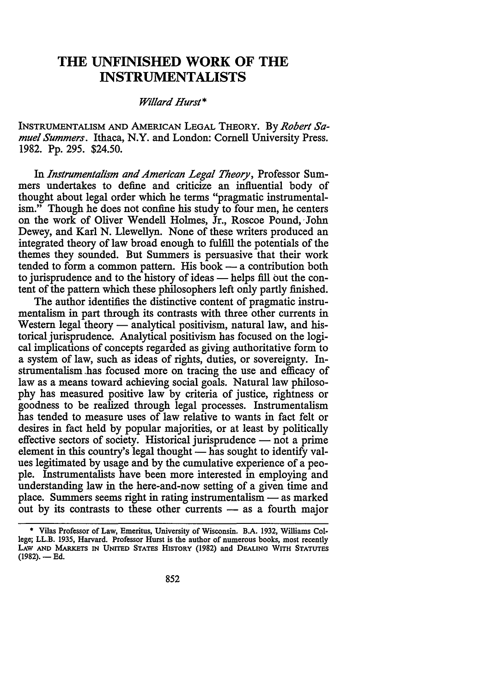### **THE UNFINISHED WORK OF THE INSTRUMENTALISTS**

#### *Willard Hurst\**

!NSTRUMENTALISM AND AMERICAN LEGAL THEORY. By *Robert Samuel Summers.* Ithaca, **N.Y.** and London: Cornell University Press. 1982. Pp. 295. \$24.50.

In *Instrumentalism and American Legal Theory,* Professor Summers undertakes to define and criticize an influential body of thought about legal order which he terms "pragmatic instrumentalism." Though he does not confine his study to four men, he centers on the work of Oliver Wendell Holmes, Jr., Roscoe Pound, John Dewey, and Karl N. Llewellyn. None of these writers produced an integrated theory of law broad enough to fulfill the potentials of the themes they sounded. But Summers is persuasive that their work tended to form a common pattern. His book  $-$  a contribution both to jurisprudence and to the history of ideas - helps fill out the content of the pattern which these philosophers left only partly finished.

The author identifies the distinctive content of pragmatic instrumentalism in part through its contrasts with three other currents in Western legal theory — analytical positivism, natural law, and historical jurisprudence. Analytical positivism has focused on the logical implications of concepts regarded as giving authoritative form to a system of law, such as ideas of rights, duties, or sovereignty. Instrumentalism ,has focused more on tracing the use and efficacy of law as a means toward achieving social goals. Natural law philosophy has measured positive law by criteria of justice, rightness or goodness to be realized through legal processes. Instrumentalism has tended to measure uses of law relative to wants in fact felt or desires in fact held by popular majorities, or at least by politically effective sectors of society. Historical jurisprudence  $-$  not a prime element in this country's legal thought - has sought to identify values legitimated by usage and by the cumulative experience of a people. Instrumentalists have been more interested in employing and understanding law in the here-and-now setting of a given time and place. Summers seems right in rating instrumentalism  $-$  as marked out by its contrasts to these other currents - as a fourth major

<sup>•</sup> Vilas Professor of Law, Emeritus, University of Wisconsin. B.A. 1932, Williams College; LL.B. 1935, Harvard. Professor Hurst is the author of numerous books, most recently LAW AND MARKETS IN UNITED STATES HISTORY (1982) and DEALING WITH STATUTES  $(1982)$ . - Ed.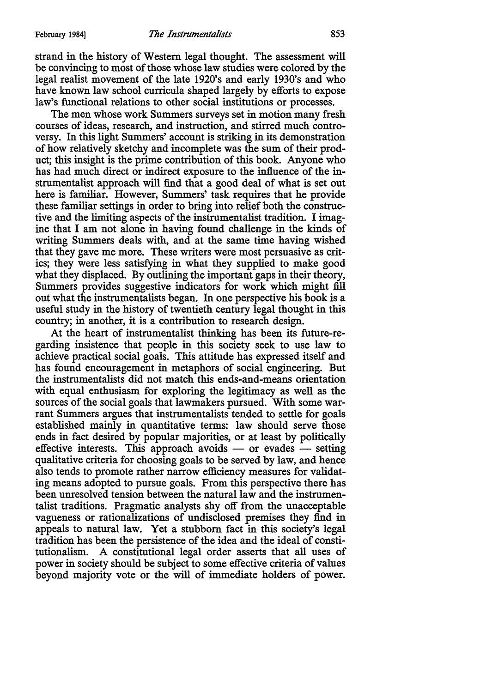strand in the history of Western legal thought. The assessment will be convincing to most of those whose law studies were colored by the legal realist movement of the late 1920's and early 1930's and who have known law school curricula shaped largely by efforts to expose law's functional relations to other social institutions or processes.

The men whose work Summers surveys set in motion many fresh courses of ideas, research, and instruction, and stirred much controversy. In this light Summers' account is striking in its demonstration of how relatively sketchy and incomplete was the sum of their product; this insight is the prime contribution of this book. Anyone who has had much direct or indirect exposure to the influence of the instrumentalist approach will find that a good deal of what is set out here is familiar. However, Summers' task requires that he provide these familiar settings in order to bring into relief both the constructive and the limiting aspects of the instrumentalist tradition. I imagine that I am not alone in having found challenge in the kinds of writing Summers deals with, and at the same time having wished that they gave me more. These writers were most persuasive as critics; they were less satisfying in what they supplied to make good what they displaced. By outlining the important gaps in their theory, Summers provides suggestive indicators for work which might fill out what the instrumentalists began. In one perspective his book is a useful study in the history of twentieth century legal thought in this country; in another, it is a contribution to research design.

At the heart of instrumentalist thinking has been its future-regarding insistence that people in this society seek to use law to achieve practical social goals. This attitude has expressed itself and has found encouragement in metaphors of social engineering. But the instrumentalists did not match this ends-and-means orientation with equal enthusiasm for exploring the legitimacy as well as the sources of the social goals that lawmakers pursued. With some warrant Summers argues that instrumentalists tended to settle for goals established mainly in quantitative terms: law should serve those ends in fact desired by popular majorities, or at least by politically effective interests. This approach avoids  $-$  or evades  $-$  setting qualitative criteria for choosing goals to be served by law, and hence also tends to promote rather narrow efficiency measures for validating means adopted to pursue goals. From this perspective there has been unresolved tension between the natural law and the instrumentalist traditions. Pragmatic analysts shy off from the unacceptable vagueness or rationalizations of undisclosed premises they find in appeals to natural law. Yet a stubborn fact in this society's legal tradition has been the persistence of the idea and the ideal of constitutionalism. A constitutional legal order asserts that all uses of power in society should be subject to some effective criteria of values beyond majority vote or the will of immediate holders of power.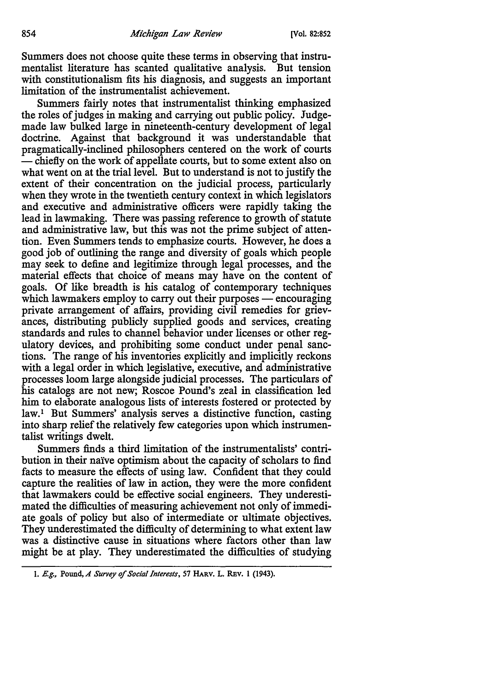Summers does not choose quite these terms in observing that instrumentalist literature has scanted qualitative analysis. But tension with constitutionalism fits his diagnosis, and suggests an important limitation of the instrumentalist achievement.

Summers fairly notes that instrumentalist thinking emphasized the roles of judges in making and carrying out public policy. Judgemade law bulked large in nineteenth-century development of legal doctrine. Against that background it was understandable that pragmatically-inclined philosophers centered on the work of courts - chiefly on the work of appellate courts, but to some extent also on what went on at the trial level. But to understand is not to justify the extent of their concentration on the judicial process, particularly when they wrote in the twentieth century context in which legislators and executive and administrative officers were rapidly taking the lead in lawmaking. There was passing reference to growth of statute and administrative law, but this was not the prime subject of attention. Even Summers tends to emphasize courts. However, he does a good job of outlining the range and diversity of goals which people may seek to define and legitimize through legal processes, and the material effects that choice of means may have on the content of goals. Of like breadth is his catalog of contemporary techniques which lawmakers employ to carry out their purposes  $-$  encouraging private arrangement of affairs, providing civil remedies for grievances, distributing publicly supplied goods and services, creating standards and rules to channel behavior under licenses or other regulatory devices, and prohibiting some conduct under penal sanctions. The range of his inventories explicitly and implicitly reckons with a legal order in which legislative, executive, and administrative processes loom large alongside judicial processes. The particulars of his catalogs are not new; Roscoe Pound's zeal in classification led him to elaborate analogous lists of interests fostered or protected by law.<sup>1</sup> But Summers' analysis serves a distinctive function, casting into sharp relief the relatively few categories upon which instrumentalist writings dwelt.

Summers finds a third limitation of the instrumentalists' contribution in their naïve optimism about the capacity of scholars to find facts to measure the effects of using law. Confident that they could capture the realities of law in action, they were the more confident that lawmakers could be effective social engineers. They underestimated the difficulties of measuring achievement not only of immediate goals of policy but also of intermediate or ultimate objectives. They underestimated the difficulty of determining to what extent law was a distinctive cause in situations where factors other than law might be at play. They underestimated the difficulties of studying

I. E.g., Pound, *A Survey of Social Interests, 51* HARV. L. REv. 1 (1943).